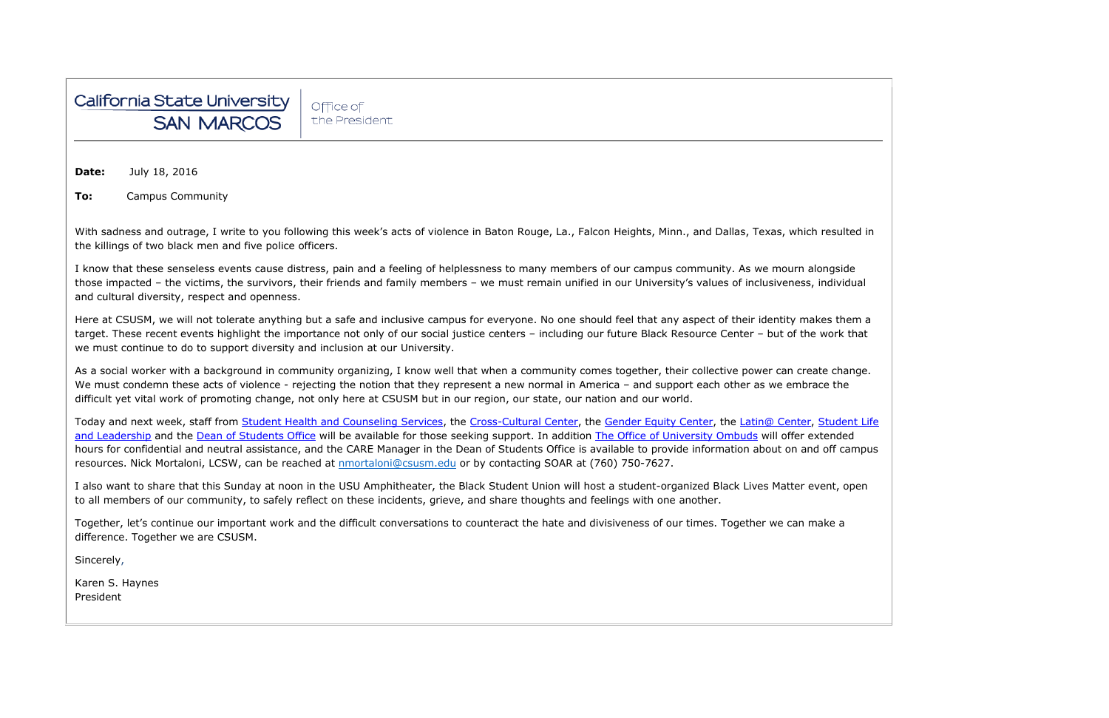

Office of the President

**Date:** July 18, 2016

**To:** Campus Community

With sadness and outrage, I write to you following this week's acts of violence in Baton Rouge, La., Falcon Heights, Minn., and Dallas, Texas, which the killings of two black men and five police officers.

I know that these senseless events cause distress, pain and a feeling of helplessness to many members of our campus community. As we mourn alongside those impacted – the victims, the survivors, their friends and family members – we must remain unified in our University's values of inclusiveness, individual and cultural diversity, respect and openness.

Here at CSUSM, we will not tolerate anything but a safe and inclusive campus for everyone. No one should feel that any aspect of their identity makes them a target. These recent events highlight the importance not only of our social justice centers – including our future Black Resource Center – but of the work that we must continue to do to support diversity and inclusion at our University.

As a social worker with a background in community organizing, I know well that when a community comes together, their collective power can create change. We must condemn these acts of violence - rejecting the notion that they represent a new normal in America - and support each other as we embrace the difficult yet vital work of promoting change, not only here at CSUSM but in our region, our state, our nation and our world.

Today and next week, staff from [Student Health and Counseling Services,](http://www.csusm.edu/shcs/) the [Cross-Cultural Center,](http://www.csusm.edu/sll/involvement/mc/c3.html) the [Gender Equity Center,](http://www.csusm.edu/asi/departments/cc/gec.html) the [Latin@ Center,](http://www.csusm.edu/latinocenter/) Student Life [and Leadership](http://www.csusm.edu/sll/) and the [Dean of Students Office](http://www.csusm.edu/dos/) will be available for those seeking support. In addition [The Office of University Ombuds](http://www.csusm.edu/ombuds/) will offer extended hours for confidential and neutral assistance, and the CARE Manager in the Dean of Students Office is available to provide information about on and off campus resources. Nick Mortaloni, LCSW, can be reached at **nmortaloni@csusm.edu** or by contacting SOAR at (760) 750-7627.

I also want to share that this Sunday at noon in the USU Amphitheater, the Black Student Union will host a student-organized Black Lives Matter event, open to all members of our community, to safely reflect on these incidents, grieve, and share thoughts and feelings with one another.

Together, let's continue our important work and the difficult conversations to counteract the hate and divisiveness of our times. Together we can make a difference. Together we are CSUSM.

Sincerely,

Karen S. Haynes President

| n resulted in |  |
|---------------|--|
|               |  |